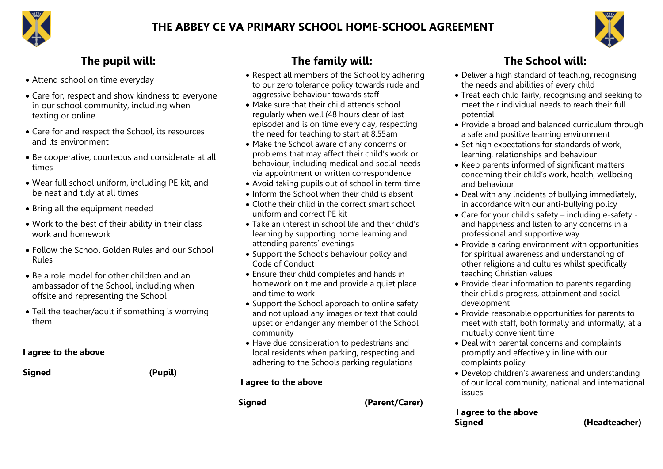

#### **THE ABBEY CE VA PRIMARY SCHOOL HOME-SCHOOL AGREEMENT**



- Attend school on time everyday
- Care for, respect and show kindness to everyone in our school community, including when texting or online
- Care for and respect the School, its resources and its environment
- Be cooperative, courteous and considerate at all times
- Wear full school uniform, including PE kit, and be neat and tidy at all times
- Bring all the equipment needed
- Work to the best of their ability in their class work and homework
- Follow the School Golden Rules and our School Rules
- Be a role model for other children and an ambassador of the School, including when offsite and representing the School
- Tell the teacher/adult if something is worrying them

#### **I agree to the above**

**Signed (Pupil)**

# **The pupil will: The family will: The School will:**

- Respect all members of the School by adhering to our zero tolerance policy towards rude and aggressive behaviour towards staff
- Make sure that their child attends school regularly when well (48 hours clear of last episode) and is on time every day, respecting the need for teaching to start at 8.55am
- Make the School aware of any concerns or problems that may affect their child's work or behaviour, including medical and social needs via appointment or written correspondence
- Avoid taking pupils out of school in term time
- Inform the School when their child is absent
- Clothe their child in the correct smart school uniform and correct PE kit
- Take an interest in school life and their child's learning by supporting home learning and attending parents' evenings
- Support the School's behaviour policy and Code of Conduct
- Ensure their child completes and hands in homework on time and provide a quiet place and time to work
- Support the School approach to online safety and not upload any images or text that could upset or endanger any member of the School community
- Have due consideration to pedestrians and local residents when parking, respecting and adhering to the Schools parking regulations

#### **I agree to the above**

**Signed (Parent/Carer)**

- Deliver a high standard of teaching, recognising the needs and abilities of every child
- Treat each child fairly, recognising and seeking to meet their individual needs to reach their full potential
- Provide a broad and balanced curriculum through a safe and positive learning environment
- Set high expectations for standards of work, learning, relationships and behaviour
- Keep parents informed of significant matters concerning their child's work, health, wellbeing and behaviour
- Deal with any incidents of bullying immediately, in accordance with our anti-bullying policy
- Care for your child's safety including e-safety and happiness and listen to any concerns in a professional and supportive way
- Provide a caring environment with opportunities for spiritual awareness and understanding of other religions and cultures whilst specifically teaching Christian values
- Provide clear information to parents regarding their child's progress, attainment and social development
- Provide reasonable opportunities for parents to meet with staff, both formally and informally, at a mutually convenient time
- Deal with parental concerns and complaints promptly and effectively in line with our complaints policy
- Develop children's awareness and understanding of our local community, national and international issues

#### **I agree to the above Signed (Headteacher)**